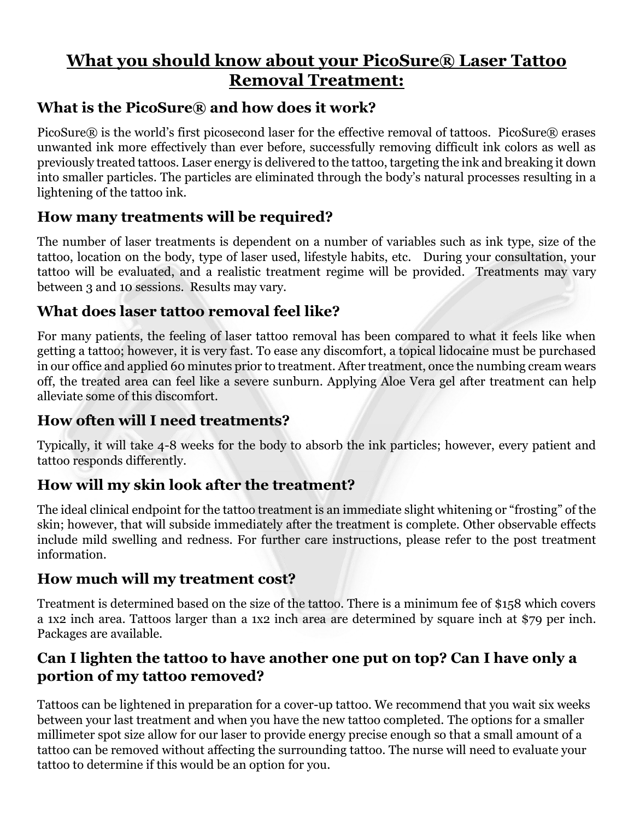# **What you should know about your PicoSure® Laser Tattoo Removal Treatment:**

## **What is the PicoSure® and how does it work?**

PicoSure $\mathbb R$  is the world's first picosecond laser for the effective removal of tattoos. PicoSure $\mathbb R$  erases unwanted ink more effectively than ever before, successfully removing difficult ink colors as well as previously treated tattoos. Laser energy is delivered to the tattoo, targeting the ink and breaking it down into smaller particles. The particles are eliminated through the body's natural processes resulting in a lightening of the tattoo ink.

# **How many treatments will be required?**

The number of laser treatments is dependent on a number of variables such as ink type, size of the tattoo, location on the body, type of laser used, lifestyle habits, etc. During your consultation, your tattoo will be evaluated, and a realistic treatment regime will be provided. Treatments may vary between 3 and 10 sessions. Results may vary.

# **What does laser tattoo removal feel like?**

For many patients, the feeling of laser tattoo removal has been compared to what it feels like when getting a tattoo; however, it is very fast. To ease any discomfort, a topical lidocaine must be purchased in our office and applied 60 minutes prior to treatment. After treatment, once the numbing cream wears off, the treated area can feel like a severe sunburn. Applying Aloe Vera gel after treatment can help alleviate some of this discomfort.

## **How often will I need treatments?**

Typically, it will take 4-8 weeks for the body to absorb the ink particles; however, every patient and tattoo responds differently.

# **How will my skin look after the treatment?**

The ideal clinical endpoint for the tattoo treatment is an immediate slight whitening or "frosting" of the skin; however, that will subside immediately after the treatment is complete. Other observable effects include mild swelling and redness. For further care instructions, please refer to the post treatment information.

## **How much will my treatment cost?**

Treatment is determined based on the size of the tattoo. There is a minimum fee of \$158 which covers a 1x2 inch area. Tattoos larger than a 1x2 inch area are determined by square inch at \$79 per inch. Packages are available.

# **Can I lighten the tattoo to have another one put on top? Can I have only a portion of my tattoo removed?**

Tattoos can be lightened in preparation for a cover-up tattoo. We recommend that you wait six weeks between your last treatment and when you have the new tattoo completed. The options for a smaller millimeter spot size allow for our laser to provide energy precise enough so that a small amount of a tattoo can be removed without affecting the surrounding tattoo. The nurse will need to evaluate your tattoo to determine if this would be an option for you.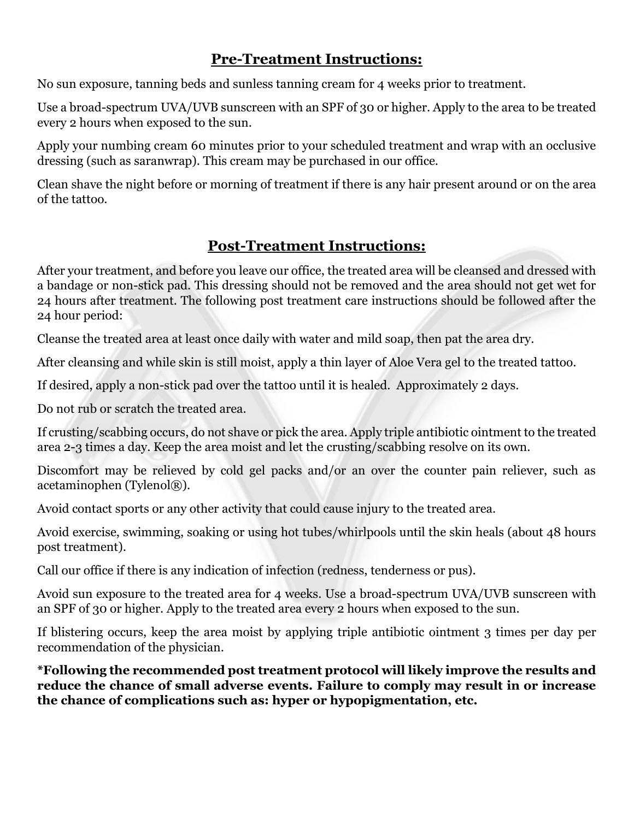#### **Pre-Treatment Instructions:**

No sun exposure, tanning beds and sunless tanning cream for 4 weeks prior to treatment.

Use a broad-spectrum UVA/UVB sunscreen with an SPF of 30 or higher. Apply to the area to be treated every 2 hours when exposed to the sun.

Apply your numbing cream 60 minutes prior to your scheduled treatment and wrap with an occlusive dressing (such as saranwrap). This cream may be purchased in our office.

Clean shave the night before or morning of treatment if there is any hair present around or on the area of the tattoo.

#### **Post-Treatment Instructions:**

After your treatment, and before you leave our office, the treated area will be cleansed and dressed with a bandage or non-stick pad. This dressing should not be removed and the area should not get wet for 24 hours after treatment. The following post treatment care instructions should be followed after the 24 hour period:

Cleanse the treated area at least once daily with water and mild soap, then pat the area dry.

After cleansing and while skin is still moist, apply a thin layer of Aloe Vera gel to the treated tattoo.

If desired, apply a non-stick pad over the tattoo until it is healed. Approximately 2 days.

Do not rub or scratch the treated area.

If crusting/scabbing occurs, do not shave or pick the area. Apply triple antibiotic ointment to the treated area 2-3 times a day. Keep the area moist and let the crusting/scabbing resolve on its own.

Discomfort may be relieved by cold gel packs and/or an over the counter pain reliever, such as acetaminophen (Tylenol®).

Avoid contact sports or any other activity that could cause injury to the treated area.

Avoid exercise, swimming, soaking or using hot tubes/whirlpools until the skin heals (about 48 hours post treatment).

Call our office if there is any indication of infection (redness, tenderness or pus).

Avoid sun exposure to the treated area for 4 weeks. Use a broad-spectrum UVA/UVB sunscreen with an SPF of 30 or higher. Apply to the treated area every 2 hours when exposed to the sun.

If blistering occurs, keep the area moist by applying triple antibiotic ointment 3 times per day per recommendation of the physician.

**\*Following the recommended post treatment protocol will likely improve the results and reduce the chance of small adverse events. Failure to comply may result in or increase the chance of complications such as: hyper or hypopigmentation, etc.**